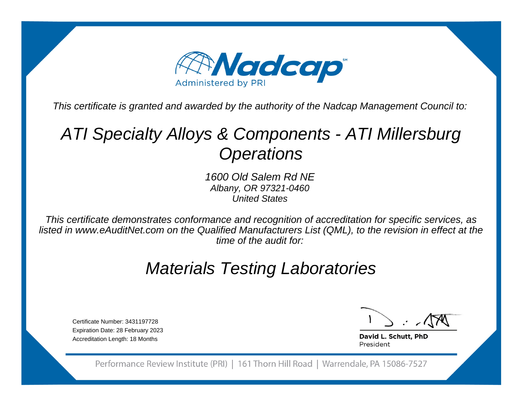

This certificate is granted and awarded by the authority of the Nadcap Management Council to:

# ATI Specialty Alloys & Components - ATI Millersburg**Operations**

1600 Old Salem Rd NE Albany, OR 97321-0460United States

This certificate demonstrates conformance and recognition of accreditation for specific services, as listed in www.eAuditNet.com on the Qualified Manufacturers List (QML), to the revision in effect at thetime of the audit for:

## Materials Testing Laboratories

Certificate Number: 3431197728 Expiration Date: 28 February 2023Accreditation Length: 18 Months

David L. Schutt, PhD President

Performance Review Institute (PRI) | 161 Thorn Hill Road | Warrendale, PA 15086-7527